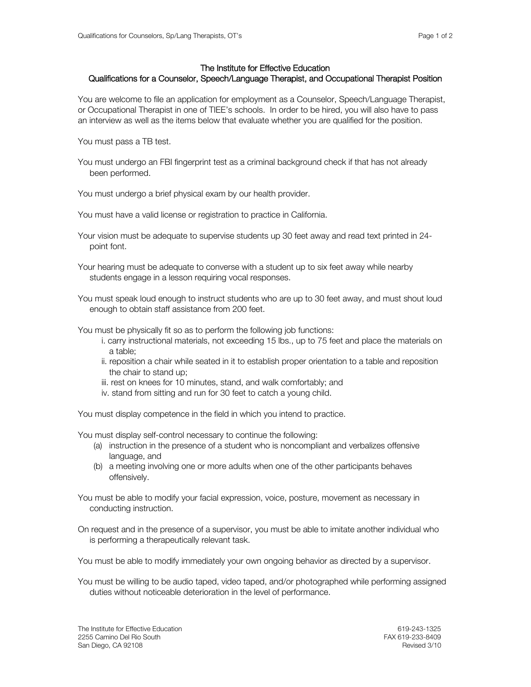## The Institute for Effective Education

## Qualifications for a Counselor, Speech/Language Therapist, and Occupational Therapist Position

You are welcome to file an application for employment as a Counselor, Speech/Language Therapist, or Occupational Therapist in one of TIEE's schools. In order to be hired, you will also have to pass an interview as well as the items below that evaluate whether you are qualified for the position.

You must pass a TB test.

You must undergo an FBI fingerprint test as a criminal background check if that has not already been performed.

You must undergo a brief physical exam by our health provider.

You must have a valid license or registration to practice in California.

- Your vision must be adequate to supervise students up 30 feet away and read text printed in 24 point font.
- Your hearing must be adequate to converse with a student up to six feet away while nearby students engage in a lesson requiring vocal responses.
- You must speak loud enough to instruct students who are up to 30 feet away, and must shout loud enough to obtain staff assistance from 200 feet.

You must be physically fit so as to perform the following job functions:

- i. carry instructional materials, not exceeding 15 lbs., up to 75 feet and place the materials on a table;
- ii. reposition a chair while seated in it to establish proper orientation to a table and reposition the chair to stand up;
- iii. rest on knees for 10 minutes, stand, and walk comfortably; and
- iv. stand from sitting and run for 30 feet to catch a young child.

You must display competence in the field in which you intend to practice.

You must display self-control necessary to continue the following:

- (a) instruction in the presence of a student who is noncompliant and verbalizes offensive language, and
- (b) a meeting involving one or more adults when one of the other participants behaves offensively.

You must be able to modify your facial expression, voice, posture, movement as necessary in conducting instruction.

On request and in the presence of a supervisor, you must be able to imitate another individual who is performing a therapeutically relevant task.

You must be able to modify immediately your own ongoing behavior as directed by a supervisor.

You must be willing to be audio taped, video taped, and/or photographed while performing assigned duties without noticeable deterioration in the level of performance.